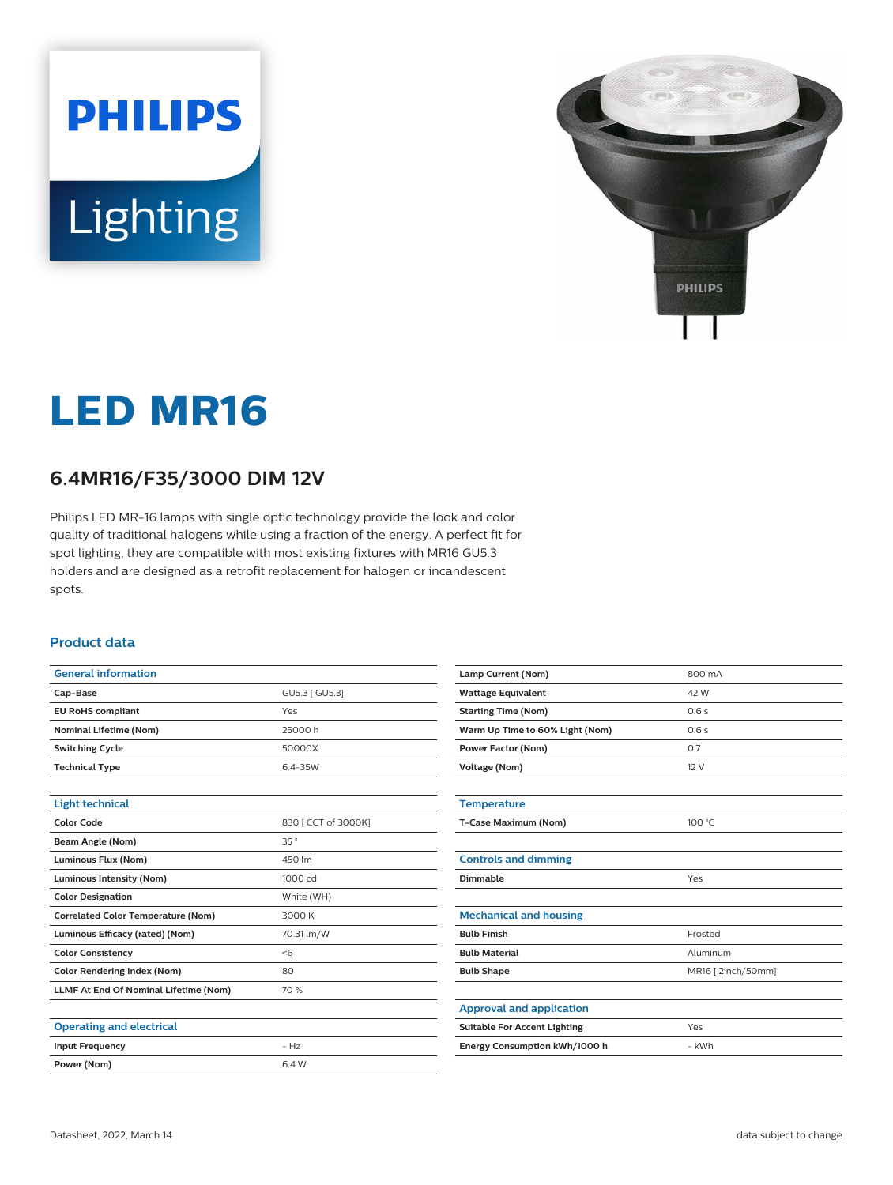



# **LED MR16**

## **6.4MR16/F35/3000 DIM 12V**

Philips LED MR-16 lamps with single optic technology provide the look and color quality of traditional halogens while using a fraction of the energy. A perfect fit for spot lighting, they are compatible with most existing fixtures with MR16 GU5.3 holders and are designed as a retrofit replacement for halogen or incandescent spots.

## **Product data**

| <b>General information</b>                |                     |
|-------------------------------------------|---------------------|
| Cap-Base                                  | GU5.3 [ GU5.3]      |
| <b>EU RoHS compliant</b>                  | Yes                 |
| <b>Nominal Lifetime (Nom)</b>             | 25000h              |
| <b>Switching Cycle</b>                    | 50000X              |
| <b>Technical Type</b>                     | $6.4 - 35W$         |
|                                           |                     |
| <b>Light technical</b>                    |                     |
| Color Code                                | 830 [ CCT of 3000K] |
| Beam Angle (Nom)                          | 35°                 |
| Luminous Flux (Nom)                       | 450 lm              |
| <b>Luminous Intensity (Nom)</b>           | 1000 cd             |
| <b>Color Designation</b>                  | White (WH)          |
| <b>Correlated Color Temperature (Nom)</b> | 3000 K              |
| Luminous Efficacy (rated) (Nom)           | 70.31 lm/W          |
| <b>Color Consistency</b>                  | <6                  |
| <b>Color Rendering Index (Nom)</b>        | 80                  |
| LLMF At End Of Nominal Lifetime (Nom)     | 70 %                |
|                                           |                     |
| <b>Operating and electrical</b>           |                     |
| <b>Input Frequency</b>                    | $-Hz$               |
| Power (Nom)                               | 6.4 W               |

| Lamp Current (Nom)                  | 800 mA            |
|-------------------------------------|-------------------|
| <b>Wattage Equivalent</b>           | 42 W              |
| <b>Starting Time (Nom)</b>          | 0.6s              |
| Warm Up Time to 60% Light (Nom)     | 0.6s              |
| <b>Power Factor (Nom)</b>           | 0.7               |
| Voltage (Nom)                       | 12 V              |
|                                     |                   |
| <b>Temperature</b>                  |                   |
| T-Case Maximum (Nom)                | 100 °C            |
|                                     |                   |
| <b>Controls and dimming</b>         |                   |
| Dimmable                            | Yes               |
|                                     |                   |
| <b>Mechanical and housing</b>       |                   |
| <b>Bulb Finish</b>                  | Frosted           |
| <b>Bulb Material</b>                | Aluminum          |
| <b>Bulb Shape</b>                   | MR16 [2inch/50mm] |
|                                     |                   |
| <b>Approval and application</b>     |                   |
| <b>Suitable For Accent Lighting</b> | Yes               |
| Energy Consumption kWh/1000 h       | - kWh             |
|                                     |                   |